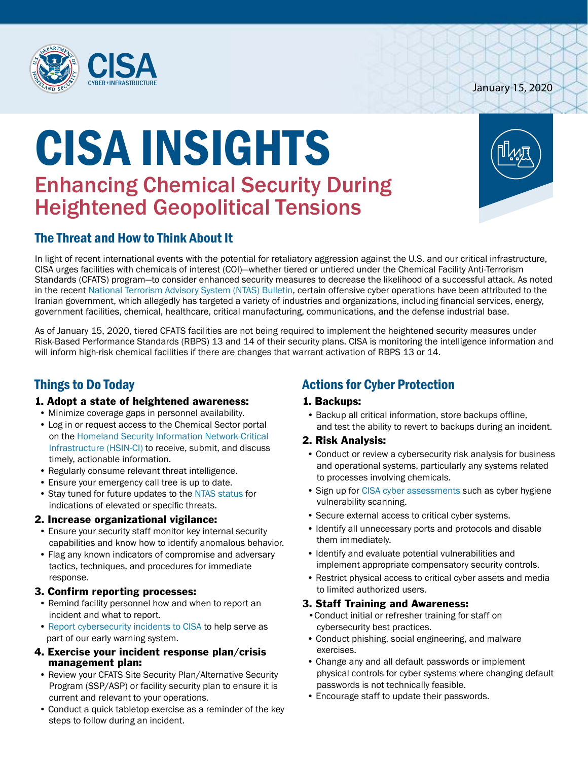

# CISA INSIGHTS Enhancing Chemical Security During Heightened Geopolitical Tensions



# The Threat and How to Think About It

In light of recent international events with the potential for retaliatory aggression against the U.S. and our critical infrastructure, CISA urges facilities with chemicals of interest (COI)—whether tiered or untiered under the Chemical Facility Anti-Terrorism Standards (CFATS) program—to consider enhanced security measures to decrease the likelihood of a successful attack. As noted in the recent [National Terrorism Advisory System \(NTAS\) Bulletin,](https://www.dhs.gov/ntas/advisory/national-terrorism-advisory-system-bulletin-january-4-2020?utm_source=bulletin&utm_medium=online&utm_campaign=jan_threat) certain offensive cyber operations have been attributed to the Iranian government, which allegedly has targeted a variety of industries and organizations, including financial services, energy, government facilities, chemical, healthcare, critical manufacturing, communications, and the defense industrial base.

As of January 15, 2020, tiered CFATS facilities are not being required to implement the heightened security measures under Risk-Based Performance Standards (RBPS) 13 and 14 of their security plans. CISA is monitoring the intelligence information and will inform high-risk chemical facilities if there are changes that warrant activation of RBPS 13 or 14.

# Things to Do Today

#### 1. Adopt a state of heightened awareness:

- Minimize coverage gaps in personnel availability.
- Log in or request access to the Chemical Sector portal on the [Homeland Security Information Network-Critical](https://www.dhs.gov/hsin-critical-infrastructure?utm_source=bulletin&utm_medium=online&utm_campaign=jan_threat) [Infrastructure \(HSIN-CI\)](https://www.dhs.gov/hsin-critical-infrastructure?utm_source=bulletin&utm_medium=online&utm_campaign=jan_threat) to receive, submit, and discuss timely, actionable information.
- Regularly consume relevant threat intelligence.
- Ensure your emergency call tree is up to date.
- Stay tuned for future updates to the [NTAS status](https://www.dhs.gov/national-terrorism-advisory-system?utm_source=bulletin&utm_medium=online&utm_campaign=jan_threat) for indications of elevated or specific threats.

#### 2. Increase organizational vigilance:

- Ensure your security staff monitor key internal security capabilities and know how to identify anomalous behavior.
- Flag any known indicators of compromise and adversary tactics, techniques, and procedures for immediate response.

# 3. Confirm reporting processes:

- Remind facility personnel how and when to report an incident and what to report.
- [Report cybersecurity incidents to CISA](https://www.us-cert.gov/report?utm_source=bulletin&utm_medium=online&utm_campaign=jan_threat) to help serve as part of our early warning system.
- 4. Exercise your incident response plan/crisis management plan:
	- Review your CFATS Site Security Plan/Alternative Security Program (SSP/ASP) or facility security plan to ensure it is current and relevant to your operations.
	- Conduct a quick tabletop exercise as a reminder of the key steps to follow during an incident.

# Actions for Cyber Protection

# 1. Backups:

*•* Backup all critical information, store backups offline, and test the ability to revert to backups during an incident.

#### 2. Risk Analysis:

- Conduct or review a cybersecurity risk analysis for business and operational systems, particularly any systems related to processes involving chemicals.
- Sign up for [CISA cyber assessments](https://www.cisa.gov/cybersecurity-assessments?utm_source=bulletin&utm_medium=online&utm_campaign=jan_threat) such as cyber hygiene vulnerability scanning.
- Secure external access to critical cyber systems.
- Identify all unnecessary ports and protocols and disable them immediately.
- Identify and evaluate potential vulnerabilities and implement appropriate compensatory security controls.
- Restrict physical access to critical cyber assets and media to limited authorized users.

# 3. Staff Training and Awareness:

- •Conduct initial or refresher training for staff on cybersecurity best practices.
- Conduct phishing, social engineering, and malware exercises.
- Change any and all default passwords or implement physical controls for cyber systems where changing default passwords is not technically feasible.
- Encourage staff to update their passwords.